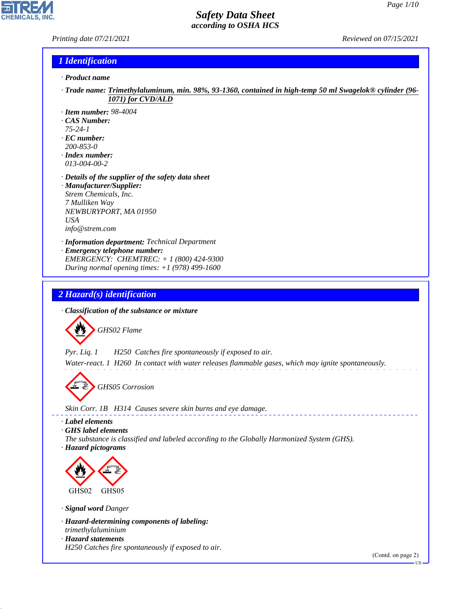### *Printing date 07/21/2021 Reviewed on 07/15/2021*

**CHEMICALS** 

### *1 Identification*

- *· Product name*
- *· Trade name: Trimethylaluminum, min. 98%, 93-1360, contained in high-temp 50 ml Swagelok® cylinder (96- 1071) for CVD/ALD*
- *· Item number: 98-4004*
- *· CAS Number:*
- *75-24-1*
- *· EC number: 200-853-0*
- *· Index number: 013-004-00-2*
- *· Details of the supplier of the safety data sheet · Manufacturer/Supplier: Strem Chemicals, Inc. 7 Mulliken Way NEWBURYPORT, MA 01950 USA info@strem.com*
- *· Information department: Technical Department · Emergency telephone number: EMERGENCY: CHEMTREC: + 1 (800) 424-9300 During normal opening times: +1 (978) 499-1600*

# *2 Hazard(s) identification*

*· Classification of the substance or mixture*



*Pyr. Liq. 1 H250 Catches fire spontaneously if exposed to air.*

*Water-react. 1 H260 In contact with water releases flammable gases, which may ignite spontaneously.*

d~*GHS05 Corrosion*

*Skin Corr. 1B H314 Causes severe skin burns and eye damage.*

*· Label elements*

*· GHS label elements*

*The substance is classified and labeled according to the Globally Harmonized System (GHS). · Hazard pictograms*



*· Signal word Danger*

44.1.1

- *· Hazard-determining components of labeling: trimethylaluminium*
- *· Hazard statements H250 Catches fire spontaneously if exposed to air.*

(Contd. on page 2)

US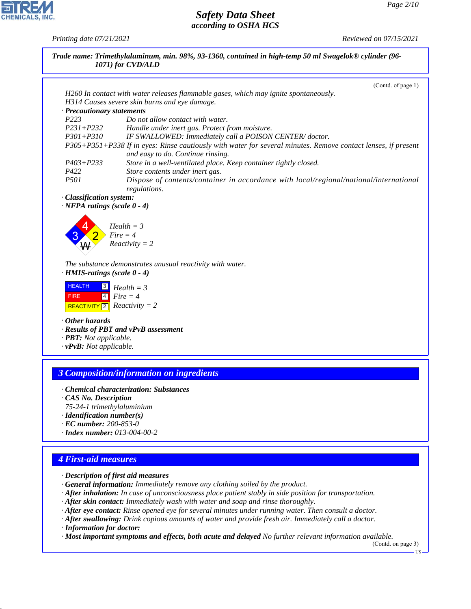|                                                            | (Contd. of page 1)                                                                                                                                 |
|------------------------------------------------------------|----------------------------------------------------------------------------------------------------------------------------------------------------|
|                                                            | H260 In contact with water releases flammable gases, which may ignite spontaneously.                                                               |
|                                                            | H314 Causes severe skin burns and eye damage.                                                                                                      |
| · Precautionary statements                                 |                                                                                                                                                    |
| P223                                                       | Do not allow contact with water.                                                                                                                   |
| $P231 + P232$                                              | Handle under inert gas. Protect from moisture.                                                                                                     |
| $P301 + P310$                                              | IF SWALLOWED: Immediately call a POISON CENTER/doctor.                                                                                             |
|                                                            | P305+P351+P338 If in eyes: Rinse cautiously with water for several minutes. Remove contact lenses, if present<br>and easy to do. Continue rinsing. |
| $P403 + P233$                                              | Store in a well-ventilated place. Keep container tightly closed.                                                                                   |
| P422                                                       | Store contents under inert gas.                                                                                                                    |
| P501                                                       | Dispose of contents/container in accordance with local/regional/national/international<br>regulations.                                             |
| · Classification system:                                   |                                                                                                                                                    |
| $\cdot$ NFPA ratings (scale $0 - 4$ )                      |                                                                                                                                                    |
|                                                            |                                                                                                                                                    |
| $\cdot$ HMIS-ratings (scale $0 - 4$ )                      | The substance demonstrates unusual reactivity with water.                                                                                          |
| <b>HEALTH</b><br>$\boxed{3}$<br>$\boxed{4}$<br><b>FIRE</b> | $Health = 3$<br>$Fire = 4$                                                                                                                         |
| REACTIVITY $\boxed{2}$ <i>Reactivity</i> = 2               |                                                                                                                                                    |
| $\cdot$ Other hazards                                      |                                                                                                                                                    |
|                                                            | · Results of PBT and vPvB assessment                                                                                                               |
| · PBT: Not applicable.                                     |                                                                                                                                                    |
| $\cdot$ vPvB: Not applicable.                              |                                                                                                                                                    |
|                                                            |                                                                                                                                                    |
|                                                            |                                                                                                                                                    |
|                                                            | <b>3 Composition/information on ingredients</b>                                                                                                    |

*· Index number: 013-004-00-2*

## *4 First-aid measures*

44.1.1

*· Description of first aid measures*

*· General information: Immediately remove any clothing soiled by the product.*

*· After inhalation: In case of unconsciousness place patient stably in side position for transportation.*

*· After skin contact: Immediately wash with water and soap and rinse thoroughly.*

*· After eye contact: Rinse opened eye for several minutes under running water. Then consult a doctor.*

*· After swallowing: Drink copious amounts of water and provide fresh air. Immediately call a doctor. · Information for doctor:*

*· Most important symptoms and effects, both acute and delayed No further relevant information available.*

(Contd. on page 3)



*Printing date 07/21/2021 Reviewed on 07/15/2021*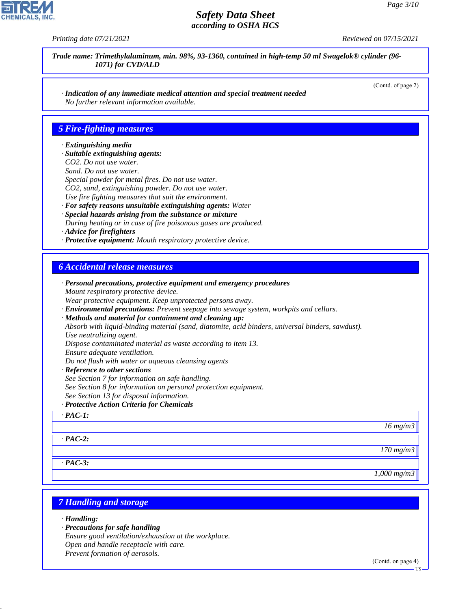(Contd. of page 2)

### *Safety Data Sheet according to OSHA HCS*

**CHEMICALS, INC** 

*Printing date 07/21/2021 Reviewed on 07/15/2021*

*Trade name: Trimethylaluminum, min. 98%, 93-1360, contained in high-temp 50 ml Swagelok® cylinder (96- 1071) for CVD/ALD*

*· Indication of any immediate medical attention and special treatment needed No further relevant information available.*

### *5 Fire-fighting measures*

#### *· Extinguishing media*

- *· Suitable extinguishing agents:*
- *CO2. Do not use water.*
- *Sand. Do not use water.*
- *Special powder for metal fires. Do not use water. CO2, sand, extinguishing powder. Do not use water.*
- *Use fire fighting measures that suit the environment.*
- *· For safety reasons unsuitable extinguishing agents: Water · Special hazards arising from the substance or mixture During heating or in case of fire poisonous gases are produced.*
- *· Advice for firefighters*
- *· Protective equipment: Mouth respiratory protective device.*

### *6 Accidental release measures*

| · Personal precautions, protective equipment and emergency procedures                            |
|--------------------------------------------------------------------------------------------------|
| Mount respiratory protective device.                                                             |
| Wear protective equipment. Keep unprotected persons away.                                        |
| · Environmental precautions: Prevent seepage into sewage system, workpits and cellars.           |
| · Methods and material for containment and cleaning up:                                          |
| Absorb with liquid-binding material (sand, diatomite, acid binders, universal binders, sawdust). |
| Use neutralizing agent.                                                                          |
| Dispose contaminated material as waste according to item 13.                                     |
| Ensure adequate ventilation.                                                                     |
| Do not flush with water or aqueous cleansing agents                                              |
| · Reference to other sections                                                                    |
| See Section 7 for information on safe handling.                                                  |
| See Section 8 for information on personal protection equipment.                                  |
| See Section 13 for disposal information.                                                         |
| · Protective Action Criteria for Chemicals                                                       |
| $\cdot$ PAC-1:                                                                                   |
| $16 \, mg/m3$                                                                                    |
|                                                                                                  |
| $\cdot$ PAC-2:                                                                                   |
| 170 mg/m3                                                                                        |
| $\cdot$ PAC-3:                                                                                   |
| $1,000$ mg/m $3$                                                                                 |
|                                                                                                  |
|                                                                                                  |

### *7 Handling and storage*

*· Handling:*

44.1.1

- *· Precautions for safe handling*
- *Ensure good ventilation/exhaustion at the workplace.*
- *Open and handle receptacle with care.*
- *Prevent formation of aerosols.*

(Contd. on page 4)

US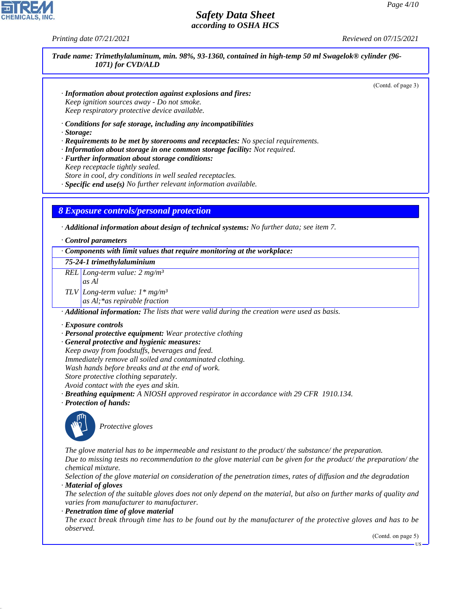*Printing date 07/21/2021 Reviewed on 07/15/2021*

*Trade name: Trimethylaluminum, min. 98%, 93-1360, contained in high-temp 50 ml Swagelok® cylinder (96- 1071) for CVD/ALD*

(Contd. of page 3)

- *· Information about protection against explosions and fires: Keep ignition sources away - Do not smoke. Keep respiratory protective device available.*
- *· Conditions for safe storage, including any incompatibilities*
- *· Storage:*
- *· Requirements to be met by storerooms and receptacles: No special requirements.*
- *· Information about storage in one common storage facility: Not required.*
- *· Further information about storage conditions: Keep receptacle tightly sealed.*
- *Store in cool, dry conditions in well sealed receptacles.*
- *· Specific end use(s) No further relevant information available.*

### *8 Exposure controls/personal protection*

*· Additional information about design of technical systems: No further data; see item 7.*

*· Control parameters*

*· Components with limit values that require monitoring at the workplace: 75-24-1 trimethylaluminium REL Long-term value: 2 mg/m³ as Al TLV Long-term value: 1\* mg/m³ as Al;\*as repirable fraction*

*· Additional information: The lists that were valid during the creation were used as basis.*

#### *· Exposure controls*

- *· Personal protective equipment: Wear protective clothing*
- *· General protective and hygienic measures: Keep away from foodstuffs, beverages and feed. Immediately remove all soiled and contaminated clothing. Wash hands before breaks and at the end of work. Store protective clothing separately. Avoid contact with the eyes and skin.*
- *· Breathing equipment: A NIOSH approved respirator in accordance with 29 CFR 1910.134.*
- *· Protection of hands:*



44.1.1

\_S*Protective gloves*

*The glove material has to be impermeable and resistant to the product/ the substance/ the preparation. Due to missing tests no recommendation to the glove material can be given for the product/ the preparation/ the chemical mixture.*

*Selection of the glove material on consideration of the penetration times, rates of diffusion and the degradation · Material of gloves*

*The selection of the suitable gloves does not only depend on the material, but also on further marks of quality and varies from manufacturer to manufacturer.*

*· Penetration time of glove material*

*The exact break through time has to be found out by the manufacturer of the protective gloves and has to be observed.*

(Contd. on page 5)

US

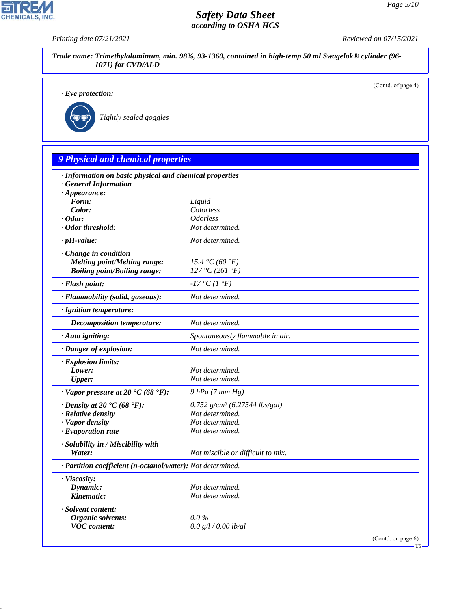*Printing date 07/21/2021 Reviewed on 07/15/2021*

|                                                            |                                             | (Contd. of page 4) |
|------------------------------------------------------------|---------------------------------------------|--------------------|
| $\cdot$ Eye protection:                                    |                                             |                    |
|                                                            |                                             |                    |
| Tightly sealed goggles                                     |                                             |                    |
|                                                            |                                             |                    |
| <b>9 Physical and chemical properties</b>                  |                                             |                    |
| · Information on basic physical and chemical properties    |                                             |                    |
| · General Information                                      |                                             |                    |
| $\cdot$ Appearance:<br>Form:                               | Liquid                                      |                    |
| Color:                                                     | Colorless                                   |                    |
| $\cdot$ Odor:                                              | <b>Odorless</b>                             |                    |
| · Odor threshold:                                          | Not determined.                             |                    |
| $\cdot$ pH-value:                                          | Not determined.                             |                    |
| · Change in condition                                      |                                             |                    |
| <b>Melting point/Melting range:</b>                        | 15.4 °C (60 °F)                             |                    |
| <b>Boiling point/Boiling range:</b>                        | 127 °C (261 °F)                             |                    |
| · Flash point:                                             | $-17$ °C (1 °F)                             |                    |
| · Flammability (solid, gaseous):                           | Not determined.                             |                    |
| · Ignition temperature:                                    |                                             |                    |
| Decomposition temperature:                                 | Not determined.                             |                    |
| · Auto igniting:                                           | Spontaneously flammable in air.             |                    |
| · Danger of explosion:                                     | Not determined.                             |                    |
| · Explosion limits:                                        |                                             |                    |
| Lower:                                                     | Not determined.                             |                    |
| <b>Upper:</b>                                              | Not determined.                             |                    |
| $\cdot$ Vapor pressure at 20 $\cdot$ C (68 $\cdot$ F):     | $9$ $hPa$ $(7$ $mm$ $Hg)$                   |                    |
| $\cdot$ Density at 20 $\cdot$ C (68 $\cdot$ F):            | $0.752$ g/cm <sup>3</sup> (6.27544 lbs/gal) |                    |
| · Relative density                                         | Not determined.                             |                    |
| · Vapor density                                            | Not determined.                             |                    |
| · Evaporation rate                                         | Not determined.                             |                    |
| · Solubility in / Miscibility with                         |                                             |                    |
| Water:                                                     | Not miscible or difficult to mix.           |                    |
| · Partition coefficient (n-octanol/water): Not determined. |                                             |                    |
| · Viscosity:                                               |                                             |                    |
| Dynamic:                                                   | Not determined.                             |                    |
| Kinematic:                                                 | Not determined.                             |                    |
| · Solvent content:                                         |                                             |                    |
| Organic solvents:                                          | $0.0\%$<br>0.0 g/l / 0.00 lb/gl             |                    |



44.1.1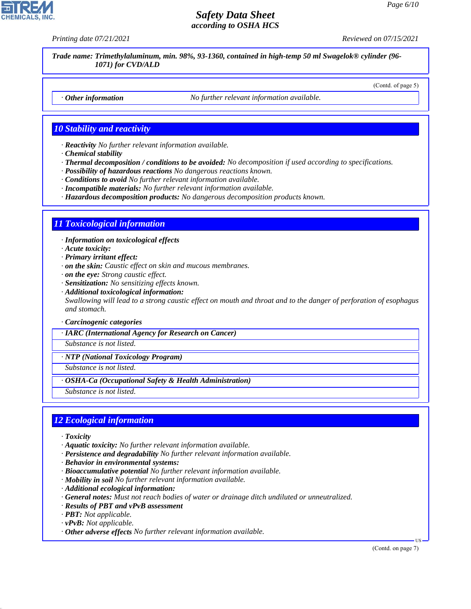(Contd. of page 5)

## *Safety Data Sheet according to OSHA HCS*

*Printing date 07/21/2021 Reviewed on 07/15/2021*

*Trade name: Trimethylaluminum, min. 98%, 93-1360, contained in high-temp 50 ml Swagelok® cylinder (96- 1071) for CVD/ALD*

*· Other information No further relevant information available.*

## *10 Stability and reactivity*

*· Reactivity No further relevant information available.*

- *· Chemical stability*
- *· Thermal decomposition / conditions to be avoided: No decomposition if used according to specifications.*
- *· Possibility of hazardous reactions No dangerous reactions known.*
- *· Conditions to avoid No further relevant information available.*
- *· Incompatible materials: No further relevant information available.*
- *· Hazardous decomposition products: No dangerous decomposition products known.*

### *11 Toxicological information*

*· Information on toxicological effects*

- *· Acute toxicity:*
- *· Primary irritant effect:*
- *· on the skin: Caustic effect on skin and mucous membranes.*
- *· on the eye: Strong caustic effect.*
- *· Sensitization: No sensitizing effects known.*
- *· Additional toxicological information: Swallowing will lead to a strong caustic effect on mouth and throat and to the danger of perforation of esophagus and stomach.*

*· Carcinogenic categories*

*· IARC (International Agency for Research on Cancer)*

*Substance is not listed.*

*· NTP (National Toxicology Program)*

*Substance is not listed.*

*· OSHA-Ca (Occupational Safety & Health Administration)*

*Substance is not listed.*

### *12 Ecological information*

*· Toxicity*

44.1.1

- *· Aquatic toxicity: No further relevant information available.*
- *· Persistence and degradability No further relevant information available.*
- *· Behavior in environmental systems:*
- *· Bioaccumulative potential No further relevant information available.*
- *· Mobility in soil No further relevant information available.*
- *· Additional ecological information:*
- *· General notes: Must not reach bodies of water or drainage ditch undiluted or unneutralized.*
- *· Results of PBT and vPvB assessment*
- *· PBT: Not applicable.*
- *· vPvB: Not applicable.*
- *· Other adverse effects No further relevant information available.*

(Contd. on page 7)

US

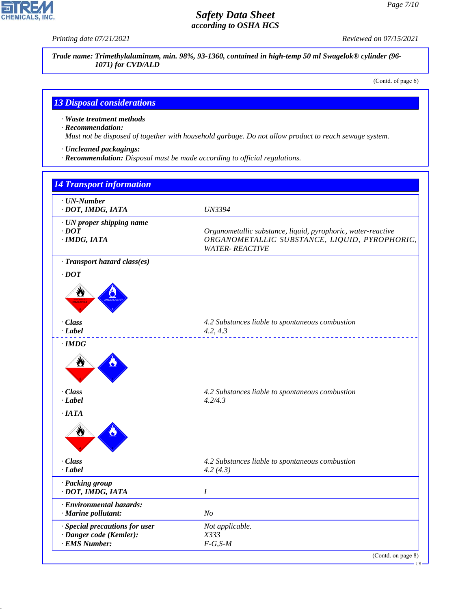*Printing date 07/21/2021 Reviewed on 07/15/2021*

*Trade name: Trimethylaluminum, min. 98%, 93-1360, contained in high-temp 50 ml Swagelok® cylinder (96- 1071) for CVD/ALD*

(Contd. of page 6)

# *13 Disposal considerations*

*· Waste treatment methods*

*· Recommendation:*

*Must not be disposed of together with household garbage. Do not allow product to reach sewage system.*

- *· Uncleaned packagings:*
- *· Recommendation: Disposal must be made according to official regulations.*

| <b>14 Transport information</b>                                            |                                                                                                                                         |
|----------------------------------------------------------------------------|-----------------------------------------------------------------------------------------------------------------------------------------|
| $\cdot$ UN-Number<br>· DOT, IMDG, IATA                                     | <b>UN3394</b>                                                                                                                           |
| · UN proper shipping name<br>$\cdot$ DOT<br>$·$ <i>IMDG, IATA</i>          | Organometallic substance, liquid, pyrophoric, water-reactive<br>ORGANOMETALLIC SUBSTANCE, LIQUID, PYROPHORIC,<br><b>WATER- REACTIVE</b> |
| · Transport hazard class(es)                                               |                                                                                                                                         |
| $\cdot$ DOT                                                                |                                                                                                                                         |
| $\cdot$ Class<br>· Label                                                   | 4.2 Substances liable to spontaneous combustion<br>4.2, 4.3                                                                             |
| $\cdot$ IMDG<br>₩<br>- Class                                               | 4.2 Substances liable to spontaneous combustion                                                                                         |
| · Label<br>$\cdot$ IATA<br>Ö                                               | 4.2/4.3                                                                                                                                 |
| · Class<br>$-Label$                                                        | 4.2 Substances liable to spontaneous combustion<br>4.2(4.3)                                                                             |
| · Packing group<br>· DOT, IMDG, IATA                                       | $\boldsymbol{I}$                                                                                                                        |
| · Environmental hazards:<br>· Marine pollutant:                            | N <sub>O</sub>                                                                                                                          |
| · Special precautions for user<br>· Danger code (Kemler):<br>· EMS Number: | Not applicable.<br>X333<br>$F-G, S-M$                                                                                                   |
|                                                                            | (Contd. on page 8)                                                                                                                      |



44.1.1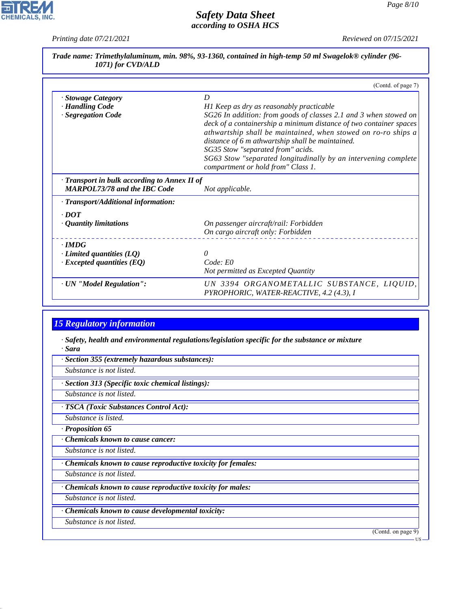*Printing date 07/21/2021 Reviewed on 07/15/2021*

 $\mathbf{r}$ 

**CHEMICALS, INC.** 

|                                                                                     | (Contd. of page 7)                                                                                                                                                                                                                                                                                                                                                                                                                                        |
|-------------------------------------------------------------------------------------|-----------------------------------------------------------------------------------------------------------------------------------------------------------------------------------------------------------------------------------------------------------------------------------------------------------------------------------------------------------------------------------------------------------------------------------------------------------|
| · Stowage Category<br>· Handling Code<br>· Segregation Code                         | D<br>H1 Keep as dry as reasonably practicable<br>SG26 In addition: from goods of classes 2.1 and 3 when stowed on<br>deck of a containership a minimum distance of two container spaces<br>athwartship shall be maintained, when stowed on ro-ro ships a<br>distance of 6 m athwartship shall be maintained.<br>SG35 Stow "separated from" acids.<br>SG63 Stow "separated longitudinally by an intervening complete<br>compartment or hold from" Class 1. |
| · Transport in bulk according to Annex II of<br><b>MARPOL73/78 and the IBC Code</b> | Not applicable.                                                                                                                                                                                                                                                                                                                                                                                                                                           |
| · Transport/Additional information:                                                 |                                                                                                                                                                                                                                                                                                                                                                                                                                                           |
| $\cdot$ DOT<br>$\cdot$ Quantity limitations                                         | On passenger aircraft/rail: Forbidden<br>On cargo aircraft only: Forbidden                                                                                                                                                                                                                                                                                                                                                                                |
| $\cdot$ IMDG<br>$\cdot$ Limited quantities (LQ)<br>$\cdot$ Excepted quantities (EQ) | $\theta$<br>Code: E0<br>Not permitted as Excepted Quantity                                                                                                                                                                                                                                                                                                                                                                                                |
| · UN "Model Regulation":                                                            | UN 3394 ORGANOMETALLIC SUBSTANCE, LIQUID,                                                                                                                                                                                                                                                                                                                                                                                                                 |

# *15 Regulatory information*

- *· Safety, health and environmental regulations/legislation specific for the substance or mixture · Sara*
- *· Section 355 (extremely hazardous substances):*
- *Substance is not listed.*
- *· Section 313 (Specific toxic chemical listings):*
- *Substance is not listed.*
- *· TSCA (Toxic Substances Control Act):*
- *Substance is listed.*
- *· Proposition 65*
- *· Chemicals known to cause cancer:*
- *Substance is not listed.*
- *· Chemicals known to cause reproductive toxicity for females:*
- *Substance is not listed.*
- *· Chemicals known to cause reproductive toxicity for males:*
- *Substance is not listed.*
- *· Chemicals known to cause developmental toxicity:*
- *Substance is not listed.*

44.1.1

(Contd. on page 9)

**US**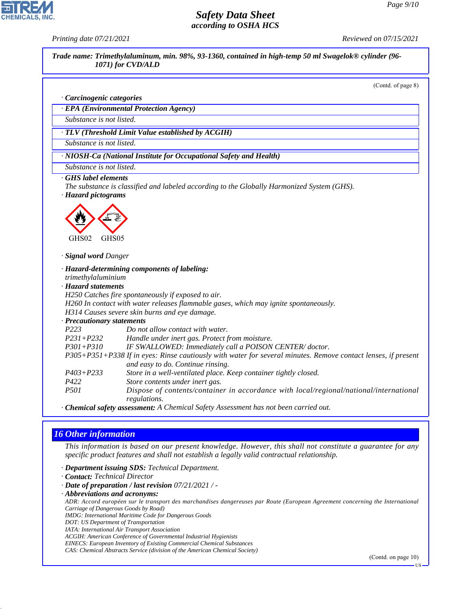*Printing date 07/21/2021 Reviewed on 07/15/2021*



*Carriage of Dangerous Goods by Road)*

*IMDG: International Maritime Code for Dangerous Goods*

*DOT: US Department of Transportation*

44.1.1

*IATA: International Air Transport Association*

*ACGIH: American Conference of Governmental Industrial Hygienists EINECS: European Inventory of Existing Commercial Chemical Substances*

*CAS: Chemical Abstracts Service (division of the American Chemical Society)*

(Contd. on page 10)